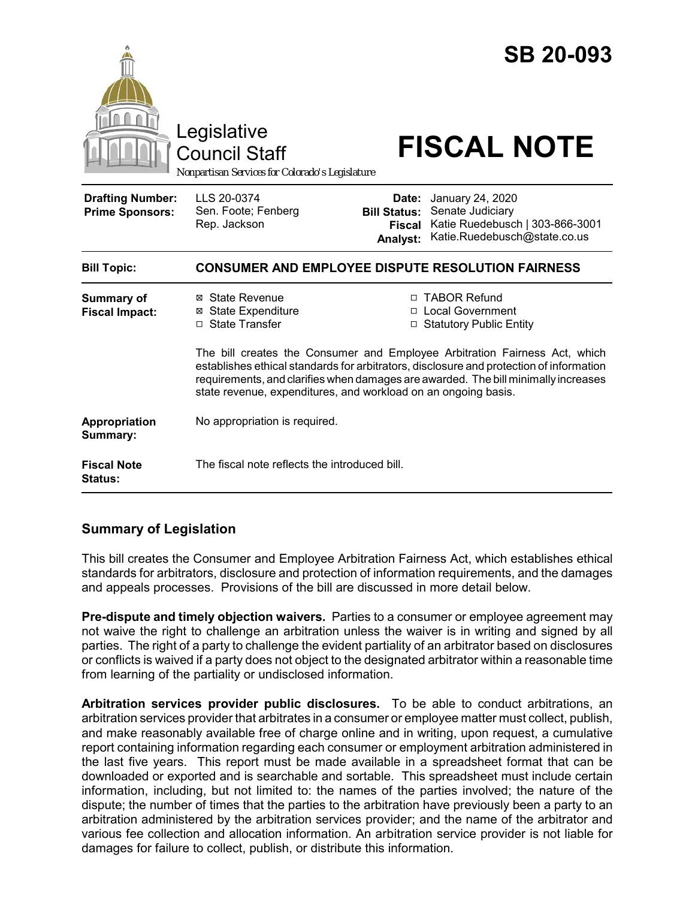

# **Summary of Legislation**

This bill creates the Consumer and Employee Arbitration Fairness Act, which establishes ethical standards for arbitrators, disclosure and protection of information requirements, and the damages and appeals processes. Provisions of the bill are discussed in more detail below.

**Pre-dispute and timely objection waivers.** Parties to a consumer or employee agreement may not waive the right to challenge an arbitration unless the waiver is in writing and signed by all parties. The right of a party to challenge the evident partiality of an arbitrator based on disclosures or conflicts is waived if a party does not object to the designated arbitrator within a reasonable time from learning of the partiality or undisclosed information.

**Arbitration services provider public disclosures.** To be able to conduct arbitrations, an arbitration services provider that arbitrates in a consumer or employee matter must collect, publish, and make reasonably available free of charge online and in writing, upon request, a cumulative report containing information regarding each consumer or employment arbitration administered in the last five years. This report must be made available in a spreadsheet format that can be downloaded or exported and is searchable and sortable. This spreadsheet must include certain information, including, but not limited to: the names of the parties involved; the nature of the dispute; the number of times that the parties to the arbitration have previously been a party to an arbitration administered by the arbitration services provider; and the name of the arbitrator and various fee collection and allocation information. An arbitration service provider is not liable for damages for failure to collect, publish, or distribute this information.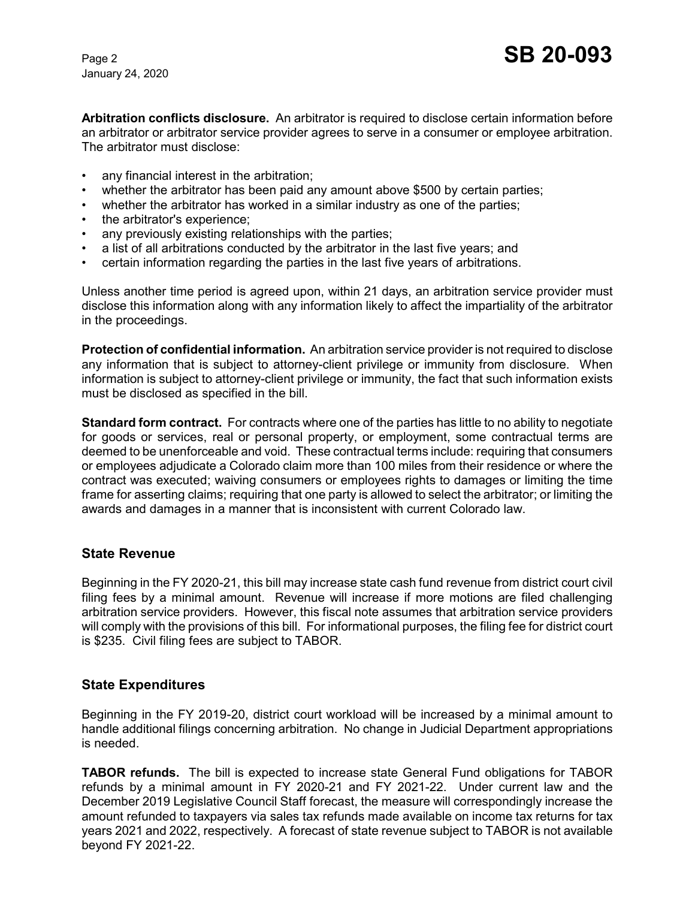January 24, 2020

**Arbitration conflicts disclosure.** An arbitrator is required to disclose certain information before an arbitrator or arbitrator service provider agrees to serve in a consumer or employee arbitration. The arbitrator must disclose:

- any financial interest in the arbitration;
- whether the arbitrator has been paid any amount above \$500 by certain parties;
- whether the arbitrator has worked in a similar industry as one of the parties;
- the arbitrator's experience;
- any previously existing relationships with the parties;
- a list of all arbitrations conducted by the arbitrator in the last five years; and
- certain information regarding the parties in the last five years of arbitrations.

Unless another time period is agreed upon, within 21 days, an arbitration service provider must disclose this information along with any information likely to affect the impartiality of the arbitrator in the proceedings.

**Protection of confidential information.** An arbitration service provider is not required to disclose any information that is subject to attorney-client privilege or immunity from disclosure. When information is subject to attorney-client privilege or immunity, the fact that such information exists must be disclosed as specified in the bill.

**Standard form contract.** For contracts where one of the parties has little to no ability to negotiate for goods or services, real or personal property, or employment, some contractual terms are deemed to be unenforceable and void. These contractual terms include: requiring that consumers or employees adjudicate a Colorado claim more than 100 miles from their residence or where the contract was executed; waiving consumers or employees rights to damages or limiting the time frame for asserting claims; requiring that one party is allowed to select the arbitrator; or limiting the awards and damages in a manner that is inconsistent with current Colorado law.

#### **State Revenue**

Beginning in the FY 2020-21, this bill may increase state cash fund revenue from district court civil filing fees by a minimal amount. Revenue will increase if more motions are filed challenging arbitration service providers. However, this fiscal note assumes that arbitration service providers will comply with the provisions of this bill. For informational purposes, the filing fee for district court is \$235. Civil filing fees are subject to TABOR.

#### **State Expenditures**

Beginning in the FY 2019-20, district court workload will be increased by a minimal amount to handle additional filings concerning arbitration. No change in Judicial Department appropriations is needed.

**TABOR refunds.** The bill is expected to increase state General Fund obligations for TABOR refunds by a minimal amount in FY 2020-21 and FY 2021-22. Under current law and the December 2019 Legislative Council Staff forecast, the measure will correspondingly increase the amount refunded to taxpayers via sales tax refunds made available on income tax returns for tax years 2021 and 2022, respectively. A forecast of state revenue subject to TABOR is not available beyond FY 2021-22.